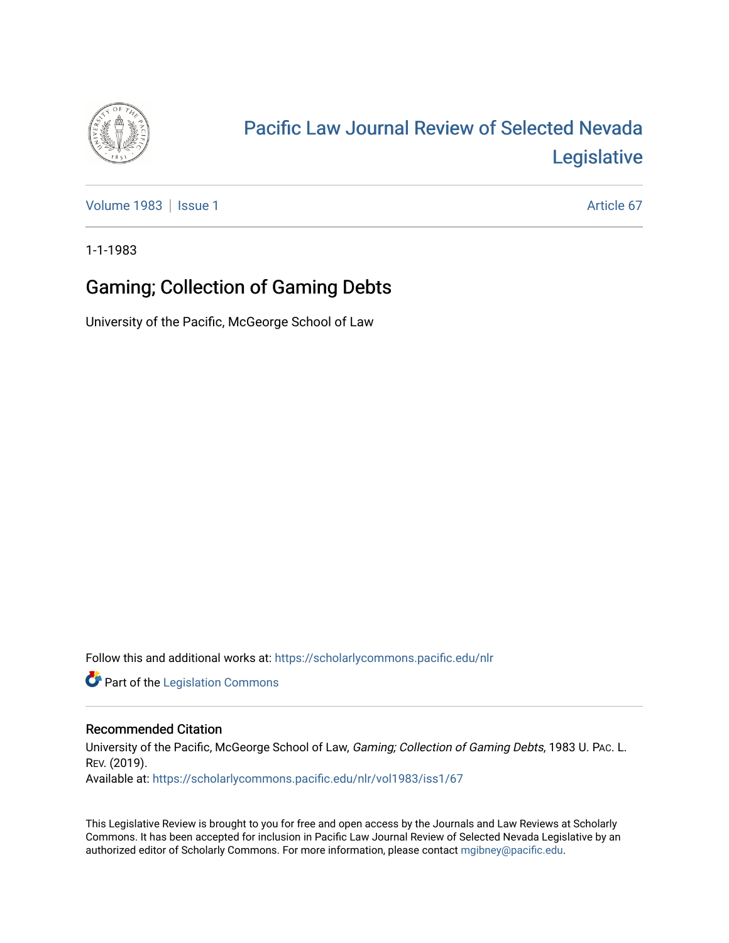

# [Pacific Law Journal Review of Selected Nevada](https://scholarlycommons.pacific.edu/nlr)  [Legislative](https://scholarlycommons.pacific.edu/nlr)

[Volume 1983](https://scholarlycommons.pacific.edu/nlr/vol1983) | [Issue 1](https://scholarlycommons.pacific.edu/nlr/vol1983/iss1) Article 67

1-1-1983

## Gaming; Collection of Gaming Debts

University of the Pacific, McGeorge School of Law

Follow this and additional works at: [https://scholarlycommons.pacific.edu/nlr](https://scholarlycommons.pacific.edu/nlr?utm_source=scholarlycommons.pacific.edu%2Fnlr%2Fvol1983%2Fiss1%2F67&utm_medium=PDF&utm_campaign=PDFCoverPages) 

**Part of the [Legislation Commons](http://network.bepress.com/hgg/discipline/859?utm_source=scholarlycommons.pacific.edu%2Fnlr%2Fvol1983%2Fiss1%2F67&utm_medium=PDF&utm_campaign=PDFCoverPages)** 

### Recommended Citation

University of the Pacific, McGeorge School of Law, Gaming; Collection of Gaming Debts, 1983 U. PAc. L. REV. (2019). Available at: [https://scholarlycommons.pacific.edu/nlr/vol1983/iss1/67](https://scholarlycommons.pacific.edu/nlr/vol1983/iss1/67?utm_source=scholarlycommons.pacific.edu%2Fnlr%2Fvol1983%2Fiss1%2F67&utm_medium=PDF&utm_campaign=PDFCoverPages)

This Legislative Review is brought to you for free and open access by the Journals and Law Reviews at Scholarly Commons. It has been accepted for inclusion in Pacific Law Journal Review of Selected Nevada Legislative by an authorized editor of Scholarly Commons. For more information, please contact [mgibney@pacific.edu](mailto:mgibney@pacific.edu).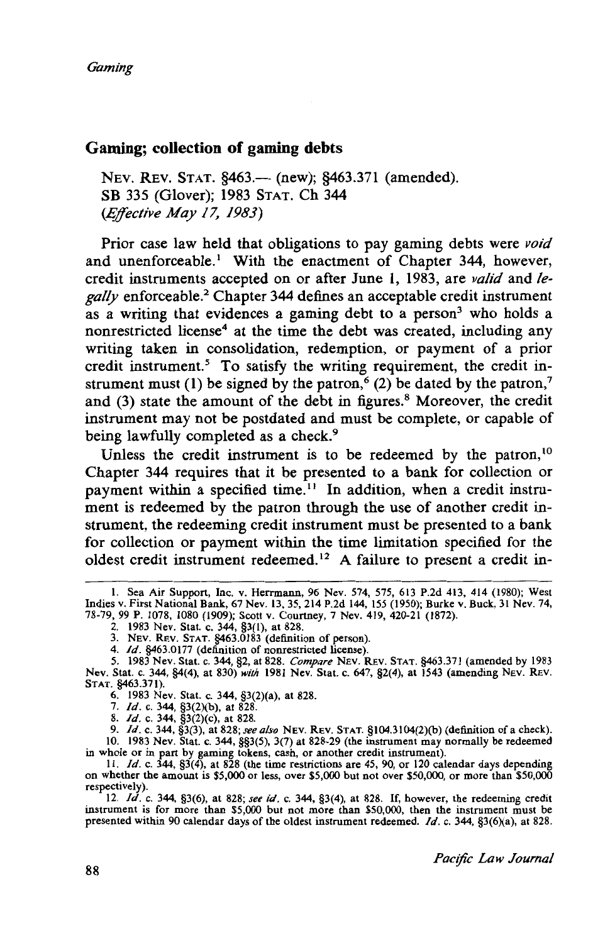#### **Gaming; collection of gaming debts**

NEV. REV. STAT. §463.— (new); §463.371 (amended). SB 335 (Glover); 1983 STAT. Ch 344 *(Effective May 17, 1983)* 

Prior case law held that obligations to pay gaming debts were *void*  and unenforceable.<sup>1</sup> With the enactment of Chapter 344, however, credit instruments accepted on or after June 1, 1983, are *valid* and *legally* enforceable? Chapter 344 defines an acceptable credit instrument as a writing that evidences a gaming debt to a person<sup>3</sup> who holds a nonrestricted license<sup>4</sup> at the time the debt was created, including any writing taken in consolidation, redemption, or payment of a prior credit instrument.<sup>5</sup> To satisfy the writing requirement, the credit instrument must (1) be signed by the patron,<sup>6</sup> (2) be dated by the patron,<sup>7</sup> and  $(3)$  state the amount of the debt in figures.<sup>8</sup> Moreover, the credit instrument may not be postdated and must be complete, or capable of being lawfully completed as a check.<sup>9</sup>

Unless the credit instrument is to be redeemed by the patron, $10$ Chapter 344 requires that it be presented to a bank for collection or payment within a specified time.<sup>11</sup> In addition, when a credit instrument is redeemed by the patron through the use of another credit instrument, the redeeming credit instrument must be presented to a bank for collection or payment within the time limitation specified for the oldest credit instrument redeemed. 12 A failure to present a credit in-

I. Sea Air Support, Inc. v. Herrmann, 96 Nev. 574, 575, 613 P.2d 413, 414 (!980); West Indies v. First National Bank, 67 Nev. 13, 35,214 P.2d 144, 155 (1950); Burke v. Buck, 31 Nev. 74, 78-79, 99 P. 1078, 1080 (1909); Scott v. Courtney, 7 Nev. 419, 420-21 (1872).

<sup>2. 1983</sup> Nev. Stat. c. 344, §3(1), at 828. 3. NEV. REV. STAT. §463.0183 (definition of person).

<sup>4.</sup> */d.* §463.0177 (definition of nonrestricted license).

<sup>5. 1983</sup> Nev. Stat. c. 344, §2, at 828. *Compare* NEV. REV. STAT. §463.371 (amended by 1983 Nev. Stat. c. 344, §4(4), at 830) *with* 1981 Nev. Stat. c. 647, §2(4), at 1543 (amending NEv. REv. STAT. §463.371).

<sup>6. 1983</sup> Nev. Stat. c. 344, §3(2)(a), at 828.

<sup>7.</sup> *Id.* c. 344, §3(2)(b), at 828.

<sup>8.</sup> */d.* c. 344, §3(2)(c), at 828.

<sup>9.</sup> */d.* c. 344, §3(3), at 828; *see also* NEv. REv. STAT. §i04.3104(2)(b) (definition of a check). 10. 1983 Nev. Stat. c. 344, §§3(5), 3(7) at 828-29 (the instrument may normally be redeemed

in whole or in part by gaming tokens, cash, or another credit instrument). II. */d.* c. 344, §3(4), at 828 (the time restrictions are 45, 90, or 120 calendar days depending on whether the amount is \$5,000 or less, over \$5,000 but not over \$50,000, or more than \$50,000 respectively).

<sup>12.</sup> */d.* c. 344, §3(6), at 828; *see id.* c. 344, §3(4), at 828. If, however, the redeeming credit instrument is for more than \$5,000 but not more than \$50,000, then the instrument must be presented within 90 calendar days of the oldest instrument redeemed. */d.* c. 344, §3(6)(a), at 828.